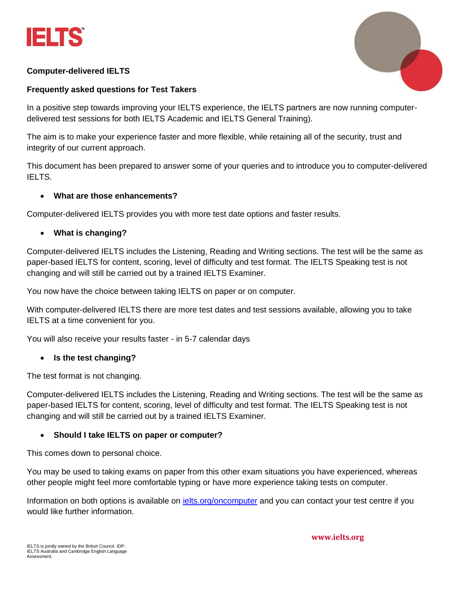



# **Computer-delivered IELTS**

# **Frequently asked questions for Test Takers**

In a positive step towards improving your IELTS experience, the IELTS partners are now running computerdelivered test sessions for both IELTS Academic and IELTS General Training).

The aim is to make your experience faster and more flexible, while retaining all of the security, trust and integrity of our current approach.

This document has been prepared to answer some of your queries and to introduce you to computer-delivered IELTS.

### • **What are those enhancements?**

Computer-delivered IELTS provides you with more test date options and faster results.

# • **What is changing?**

Computer-delivered IELTS includes the Listening, Reading and Writing sections. The test will be the same as paper-based IELTS for content, scoring, level of difficulty and test format. The IELTS Speaking test is not changing and will still be carried out by a trained IELTS Examiner.

You now have the choice between taking IELTS on paper or on computer.

With computer-delivered IELTS there are more test dates and test sessions available, allowing you to take IELTS at a time convenient for you.

You will also receive your results faster - in 5-7 calendar days

#### • **Is the test changing?**

The test format is not changing.

Computer-delivered IELTS includes the Listening, Reading and Writing sections. The test will be the same as paper-based IELTS for content, scoring, level of difficulty and test format. The IELTS Speaking test is not changing and will still be carried out by a trained IELTS Examiner.

# • **Should I take IELTS on paper or computer?**

This comes down to personal choice.

You may be used to taking exams on paper from this other exam situations you have experienced, whereas other people might feel more comfortable typing or have more experience taking tests on computer.

Information on both options is available on *ielts.org/oncomputer* and you can contact your test centre if you would like further information.